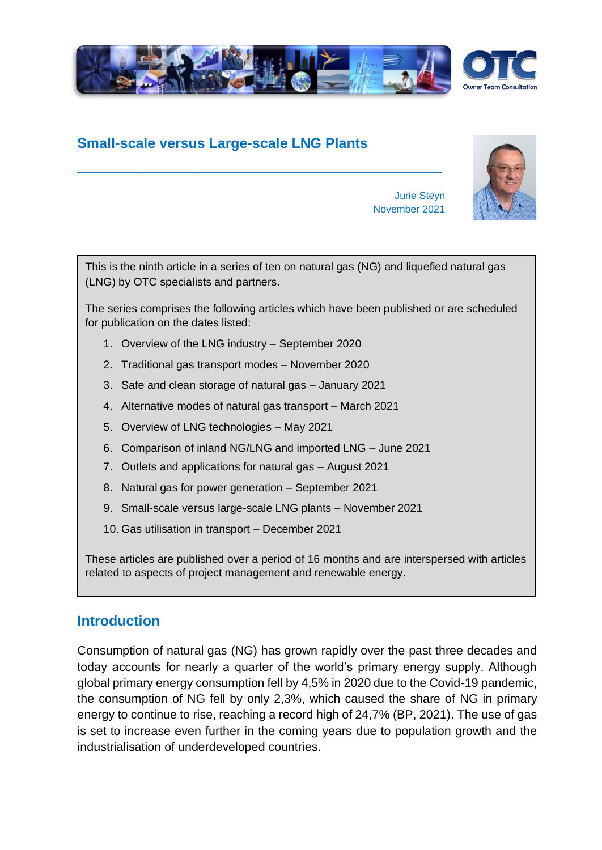

# **Small-scale versus Large-scale LNG Plants**

**\_\_\_\_\_\_\_\_\_\_\_\_\_\_\_\_\_\_\_\_\_\_\_\_\_\_\_\_\_\_\_\_\_\_\_\_**



Jurie Steyn November 2021

This is the ninth article in a series of ten on natural gas (NG) and liquefied natural gas (LNG) by OTC specialists and partners.

The series comprises the following articles which have been published or are scheduled for publication on the dates listed:

- 1. Overview of the LNG industry September 2020
- 2. Traditional gas transport modes November 2020
- 3. Safe and clean storage of natural gas January 2021
- 4. Alternative modes of natural gas transport March 2021
- 5. Overview of LNG technologies May 2021
- 6. Comparison of inland NG/LNG and imported LNG June 2021
- 7. Outlets and applications for natural gas August 2021
- 8. Natural gas for power generation September 2021
- 9. Small-scale versus large-scale LNG plants November 2021
- 10. Gas utilisation in transport December 2021

These articles are published over a period of 16 months and are interspersed with articles related to aspects of project management and renewable energy.

### **Introduction**

Consumption of natural gas (NG) has grown rapidly over the past three decades and today accounts for nearly a quarter of the world's primary energy supply. Although global primary energy consumption fell by 4,5% in 2020 due to the Covid-19 pandemic, the consumption of NG fell by only 2,3%, which caused the share of NG in primary energy to continue to rise, reaching a record high of 24,7% (BP, 2021). The use of gas is set to increase even further in the coming years due to population growth and the industrialisation of underdeveloped countries.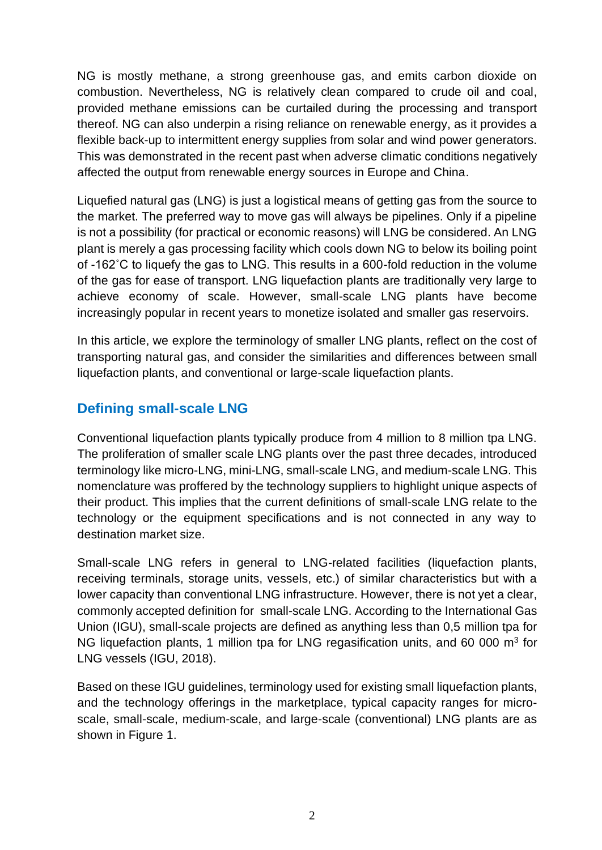NG is mostly methane, a strong greenhouse gas, and emits carbon dioxide on combustion. Nevertheless, NG is relatively clean compared to crude oil and coal, provided methane emissions can be curtailed during the processing and transport thereof. NG can also underpin a rising reliance on renewable energy, as it provides a flexible back-up to intermittent energy supplies from solar and wind power generators. This was demonstrated in the recent past when adverse climatic conditions negatively affected the output from renewable energy sources in Europe and China.

Liquefied natural gas (LNG) is just a logistical means of getting gas from the source to the market. The preferred way to move gas will always be pipelines. Only if a pipeline is not a possibility (for practical or economic reasons) will LNG be considered. An LNG plant is merely a gas processing facility which cools down NG to below its boiling point of -162˚C to liquefy the gas to LNG. This results in a 600-fold reduction in the volume of the gas for ease of transport. LNG liquefaction plants are traditionally very large to achieve economy of scale. However, small-scale LNG plants have become increasingly popular in recent years to monetize isolated and smaller gas reservoirs.

In this article, we explore the terminology of smaller LNG plants, reflect on the cost of transporting natural gas, and consider the similarities and differences between small liquefaction plants, and conventional or large-scale liquefaction plants.

# **Defining small-scale LNG**

Conventional liquefaction plants typically produce from 4 million to 8 million tpa LNG. The proliferation of smaller scale LNG plants over the past three decades, introduced terminology like micro-LNG, mini-LNG, small-scale LNG, and medium-scale LNG. This nomenclature was proffered by the technology suppliers to highlight unique aspects of their product. This implies that the current definitions of small-scale LNG relate to the technology or the equipment specifications and is not connected in any way to destination market size.

Small-scale LNG refers in general to LNG-related facilities (liquefaction plants, receiving terminals, storage units, vessels, etc.) of similar characteristics but with a lower capacity than conventional LNG infrastructure. However, there is not yet a clear, commonly accepted definition for small-scale LNG. According to the International Gas Union (IGU), small-scale projects are defined as anything less than 0,5 million tpa for NG liquefaction plants, 1 million tpa for LNG regasification units, and 60 000  $m^3$  for LNG vessels (IGU, 2018).

Based on these IGU guidelines, terminology used for existing small liquefaction plants, and the technology offerings in the marketplace, typical capacity ranges for microscale, small-scale, medium-scale, and large-scale (conventional) LNG plants are as shown in Figure 1.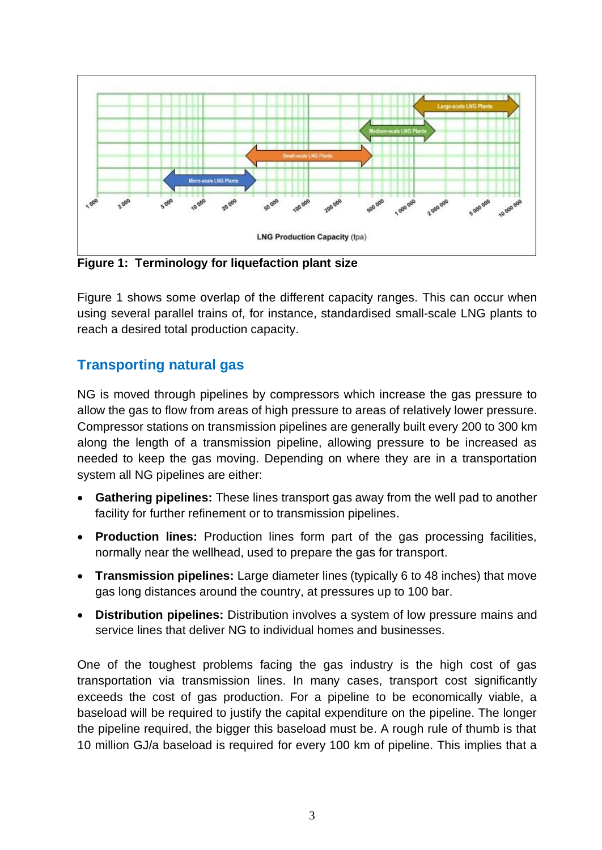

**Figure 1: Terminology for liquefaction plant size**

Figure 1 shows some overlap of the different capacity ranges. This can occur when using several parallel trains of, for instance, standardised small-scale LNG plants to reach a desired total production capacity.

# **Transporting natural gas**

NG is moved through pipelines by compressors which increase the gas pressure to allow the gas to flow from areas of high pressure to areas of relatively lower pressure. Compressor stations on transmission pipelines are generally built every 200 to 300 km along the length of a transmission pipeline, allowing pressure to be increased as needed to keep the gas moving. Depending on where they are in a transportation system all NG pipelines are either:

- **Gathering pipelines:** These lines transport gas away from the well pad to another facility for further refinement or to transmission pipelines.
- **Production lines:** Production lines form part of the gas processing facilities, normally near the wellhead, used to prepare the gas for transport.
- **Transmission pipelines:** Large diameter lines (typically 6 to 48 inches) that move gas long distances around the country, at pressures up to 100 bar.
- **Distribution pipelines:** Distribution involves a system of low pressure mains and service lines that deliver NG to individual homes and businesses.

One of the toughest problems facing the gas industry is the high cost of gas transportation via transmission lines. In many cases, transport cost significantly exceeds the cost of gas production. For a pipeline to be economically viable, a baseload will be required to justify the capital expenditure on the pipeline. The longer the pipeline required, the bigger this baseload must be. A rough rule of thumb is that 10 million GJ/a baseload is required for every 100 km of pipeline. This implies that a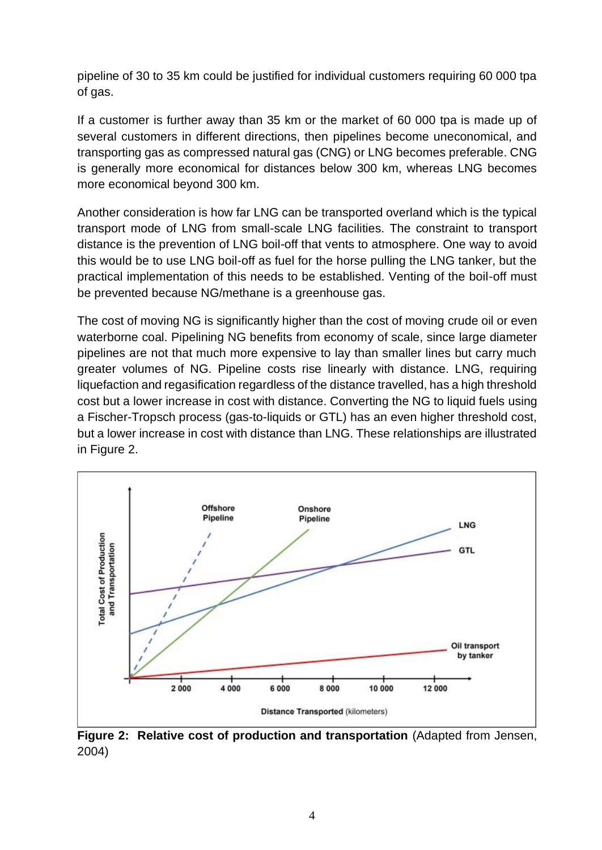pipeline of 30 to 35 km could be justified for individual customers requiring 60 000 tpa of gas.

If a customer is further away than 35 km or the market of 60 000 tpa is made up of several customers in different directions, then pipelines become uneconomical, and transporting gas as compressed natural gas (CNG) or LNG becomes preferable. CNG is generally more economical for distances below 300 km, whereas LNG becomes more economical beyond 300 km.

Another consideration is how far LNG can be transported overland which is the typical transport mode of LNG from small-scale LNG facilities. The constraint to transport distance is the prevention of LNG boil-off that vents to atmosphere. One way to avoid this would be to use LNG boil-off as fuel for the horse pulling the LNG tanker, but the practical implementation of this needs to be established. Venting of the boil-off must be prevented because NG/methane is a greenhouse gas.

The cost of moving NG is significantly higher than the cost of moving crude oil or even waterborne coal. Pipelining NG benefits from economy of scale, since large diameter pipelines are not that much more expensive to lay than smaller lines but carry much greater volumes of NG. Pipeline costs rise linearly with distance. LNG, requiring liquefaction and regasification regardless of the distance travelled, has a high threshold cost but a lower increase in cost with distance. Converting the NG to liquid fuels using a Fischer-Tropsch process (gas-to-liquids or GTL) has an even higher threshold cost, but a lower increase in cost with distance than LNG. These relationships are illustrated in Figure 2.



**Figure 2: Relative cost of production and transportation** (Adapted from Jensen, 2004)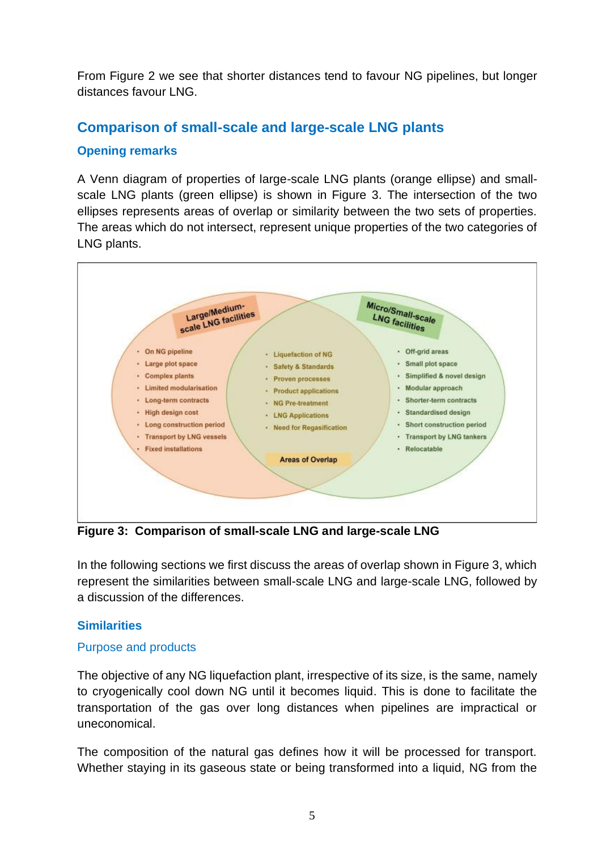From Figure 2 we see that shorter distances tend to favour NG pipelines, but longer distances favour LNG.

## **Comparison of small-scale and large-scale LNG plants**

### **Opening remarks**

A Venn diagram of properties of large-scale LNG plants (orange ellipse) and smallscale LNG plants (green ellipse) is shown in Figure 3. The intersection of the two ellipses represents areas of overlap or similarity between the two sets of properties. The areas which do not intersect, represent unique properties of the two categories of LNG plants.



**Figure 3: Comparison of small-scale LNG and large-scale LNG**

In the following sections we first discuss the areas of overlap shown in Figure 3, which represent the similarities between small-scale LNG and large-scale LNG, followed by a discussion of the differences.

### **Similarities**

### Purpose and products

The objective of any NG liquefaction plant, irrespective of its size, is the same, namely to cryogenically cool down NG until it becomes liquid. This is done to facilitate the transportation of the gas over long distances when pipelines are impractical or uneconomical.

The composition of the natural gas defines how it will be processed for transport. Whether staying in its gaseous state or being transformed into a liquid, NG from the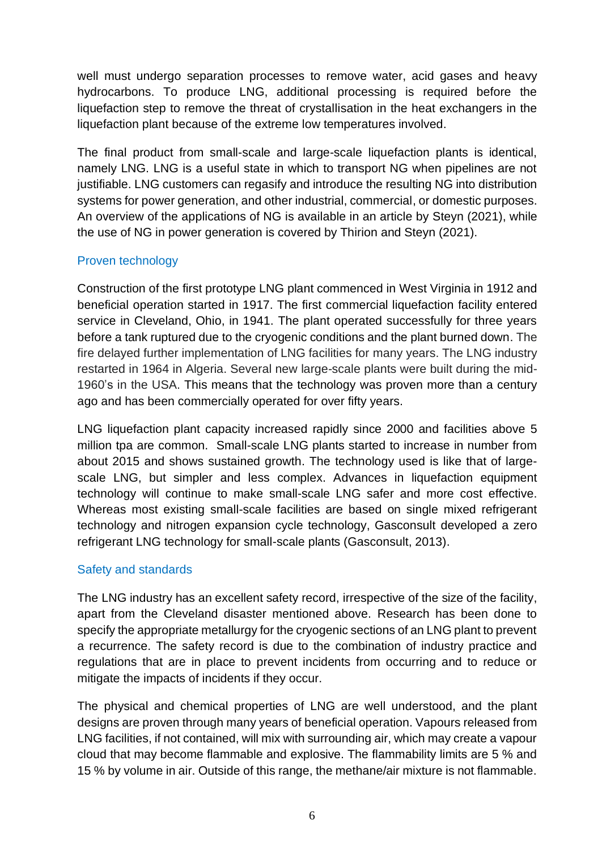well must undergo separation processes to remove water, acid gases and heavy hydrocarbons. To produce LNG, additional processing is required before the liquefaction step to remove the threat of crystallisation in the heat exchangers in the liquefaction plant because of the extreme low temperatures involved.

The final product from small-scale and large-scale liquefaction plants is identical, namely LNG. LNG is a useful state in which to transport NG when pipelines are not justifiable. LNG customers can regasify and introduce the resulting NG into distribution systems for power generation, and other industrial, commercial, or domestic purposes. An overview of the applications of NG is available in an article by Steyn (2021), while the use of NG in power generation is covered by Thirion and Steyn (2021).

### Proven technology

Construction of the first prototype LNG plant commenced in West Virginia in 1912 and beneficial operation started in 1917. The first commercial liquefaction facility entered service in Cleveland, Ohio, in 1941. The plant operated successfully for three years before a tank ruptured due to the cryogenic conditions and the plant burned down. The fire delayed further implementation of LNG facilities for many years. The LNG industry restarted in 1964 in Algeria. Several new large-scale plants were built during the mid-1960's in the USA. This means that the technology was proven more than a century ago and has been commercially operated for over fifty years.

LNG liquefaction plant capacity increased rapidly since 2000 and facilities above 5 million tpa are common. Small-scale LNG plants started to increase in number from about 2015 and shows sustained growth. The technology used is like that of largescale LNG, but simpler and less complex. Advances in liquefaction equipment technology will continue to make small-scale LNG safer and more cost effective. Whereas most existing small-scale facilities are based on single mixed refrigerant technology and nitrogen expansion cycle technology, Gasconsult developed a zero refrigerant LNG technology for small-scale plants (Gasconsult, 2013).

### Safety and standards

The LNG industry has an excellent safety record, irrespective of the size of the facility, apart from the Cleveland disaster mentioned above. Research has been done to specify the appropriate metallurgy for the cryogenic sections of an LNG plant to prevent a recurrence. The safety record is due to the combination of industry practice and regulations that are in place to prevent incidents from occurring and to reduce or mitigate the impacts of incidents if they occur.

The physical and chemical properties of LNG are well understood, and the plant designs are proven through many years of beneficial operation. Vapours released from LNG facilities, if not contained, will mix with surrounding air, which may create a vapour cloud that may become flammable and explosive. The flammability limits are 5 % and 15 % by volume in air. Outside of this range, the methane/air mixture is not flammable.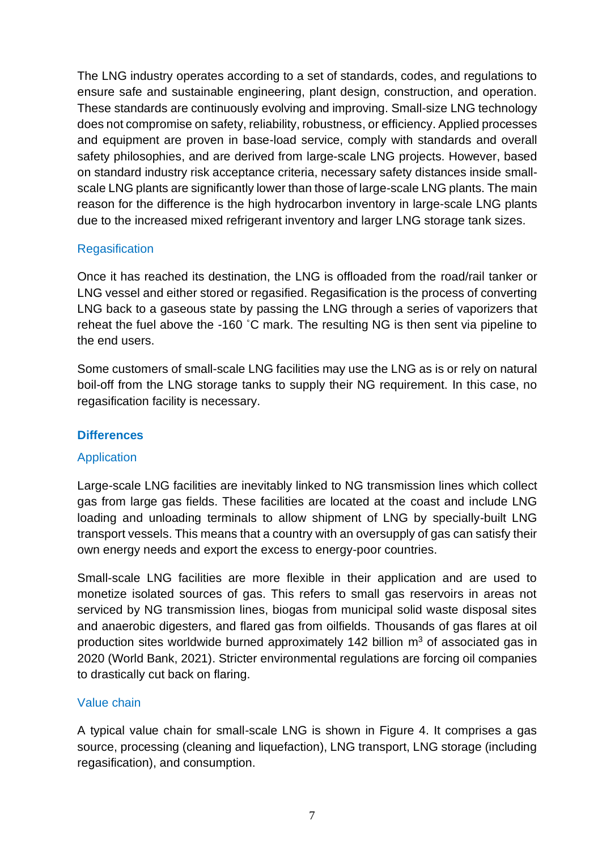The LNG industry operates according to a set of standards, codes, and regulations to ensure safe and sustainable engineering, plant design, construction, and operation. These standards are continuously evolving and improving. Small-size LNG technology does not compromise on safety, reliability, robustness, or efficiency. Applied processes and equipment are proven in base-load service, comply with standards and overall safety philosophies, and are derived from large-scale LNG projects. However, based on standard industry risk acceptance criteria, necessary safety distances inside smallscale LNG plants are significantly lower than those of large-scale LNG plants. The main reason for the difference is the high hydrocarbon inventory in large-scale LNG plants due to the increased mixed refrigerant inventory and larger LNG storage tank sizes.

### **Regasification**

Once it has reached its destination, the LNG is offloaded from the road/rail tanker or LNG vessel and either stored or regasified. Regasification is the process of converting LNG back to a gaseous state by passing the LNG through a series of vaporizers that reheat the fuel above the -160 ˚C mark. The resulting NG is then sent via pipeline to the end users.

Some customers of small-scale LNG facilities may use the LNG as is or rely on natural boil-off from the LNG storage tanks to supply their NG requirement. In this case, no regasification facility is necessary.

### **Differences**

### Application

Large-scale LNG facilities are inevitably linked to NG transmission lines which collect gas from large gas fields. These facilities are located at the coast and include LNG loading and unloading terminals to allow shipment of LNG by specially-built LNG transport vessels. This means that a country with an oversupply of gas can satisfy their own energy needs and export the excess to energy-poor countries.

Small-scale LNG facilities are more flexible in their application and are used to monetize isolated sources of gas. This refers to small gas reservoirs in areas not serviced by NG transmission lines, biogas from municipal solid waste disposal sites and anaerobic digesters, and flared gas from oilfields. Thousands of gas flares at oil production sites worldwide burned approximately 142 billion  $m<sup>3</sup>$  of associated gas in 2020 (World Bank, 2021). Stricter environmental regulations are forcing oil companies to drastically cut back on flaring.

### Value chain

A typical value chain for small-scale LNG is shown in Figure 4. It comprises a gas source, processing (cleaning and liquefaction), LNG transport, LNG storage (including regasification), and consumption.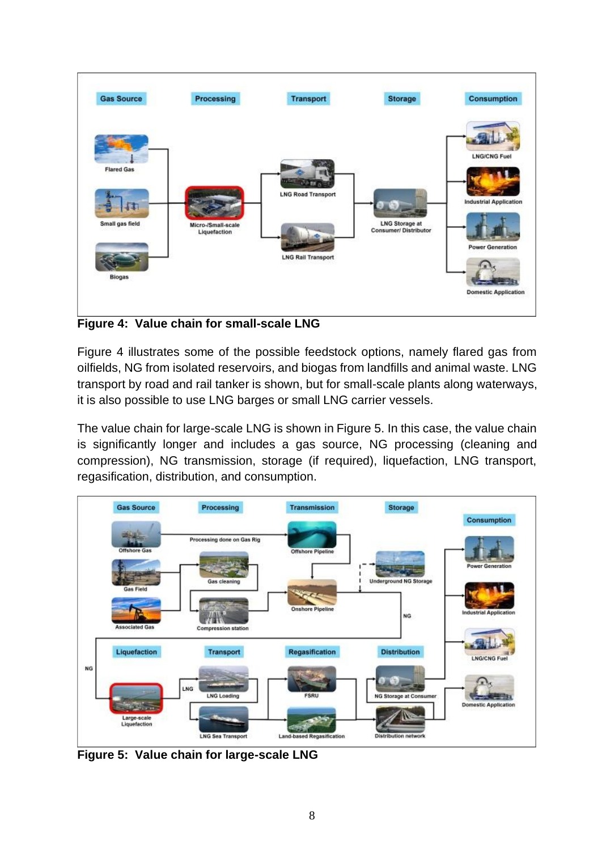

**Figure 4: Value chain for small-scale LNG**

Figure 4 illustrates some of the possible feedstock options, namely flared gas from oilfields, NG from isolated reservoirs, and biogas from landfills and animal waste. LNG transport by road and rail tanker is shown, but for small-scale plants along waterways, it is also possible to use LNG barges or small LNG carrier vessels.

The value chain for large-scale LNG is shown in Figure 5. In this case, the value chain is significantly longer and includes a gas source, NG processing (cleaning and compression), NG transmission, storage (if required), liquefaction, LNG transport, regasification, distribution, and consumption.



**Figure 5: Value chain for large-scale LNG**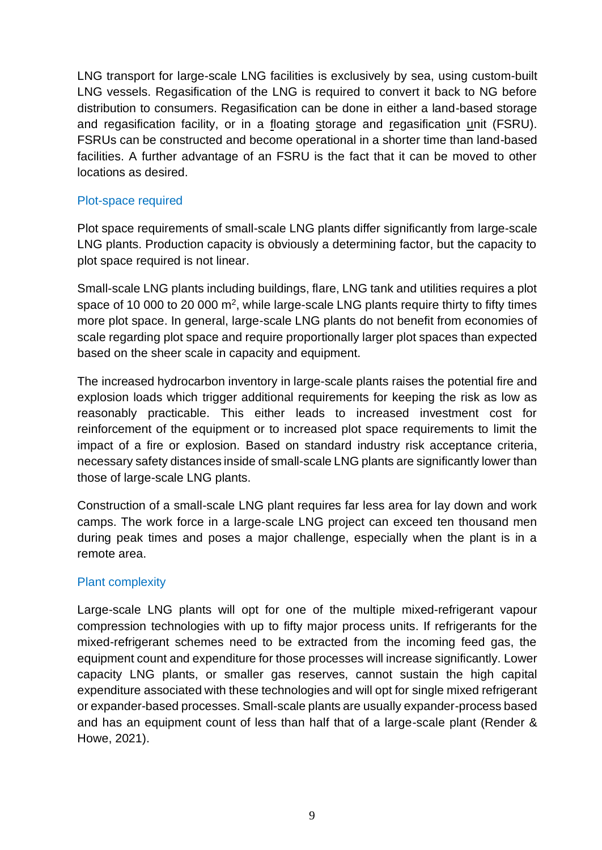LNG transport for large-scale LNG facilities is exclusively by sea, using custom-built LNG vessels. Regasification of the LNG is required to convert it back to NG before distribution to consumers. Regasification can be done in either a land-based storage and regasification facility, or in a floating storage and regasification unit (FSRU). FSRUs can be constructed and become operational in a shorter time than land-based facilities. A further advantage of an FSRU is the fact that it can be moved to other locations as desired.

#### Plot-space required

Plot space requirements of small-scale LNG plants differ significantly from large-scale LNG plants. Production capacity is obviously a determining factor, but the capacity to plot space required is not linear.

Small-scale LNG plants including buildings, flare, LNG tank and utilities requires a plot space of 10 000 to 20 000  $m^2$ , while large-scale LNG plants require thirty to fifty times more plot space. In general, large-scale LNG plants do not benefit from economies of scale regarding plot space and require proportionally larger plot spaces than expected based on the sheer scale in capacity and equipment.

The increased hydrocarbon inventory in large-scale plants raises the potential fire and explosion loads which trigger additional requirements for keeping the risk as low as reasonably practicable. This either leads to increased investment cost for reinforcement of the equipment or to increased plot space requirements to limit the impact of a fire or explosion. Based on standard industry risk acceptance criteria, necessary safety distances inside of small-scale LNG plants are significantly lower than those of large-scale LNG plants.

Construction of a small-scale LNG plant requires far less area for lay down and work camps. The work force in a large-scale LNG project can exceed ten thousand men during peak times and poses a major challenge, especially when the plant is in a remote area.

### Plant complexity

Large-scale LNG plants will opt for one of the multiple mixed-refrigerant vapour compression technologies with up to fifty major process units. If refrigerants for the mixed-refrigerant schemes need to be extracted from the incoming feed gas, the equipment count and expenditure for those processes will increase significantly. Lower capacity LNG plants, or smaller gas reserves, cannot sustain the high capital expenditure associated with these technologies and will opt for single mixed refrigerant or expander-based processes. Small-scale plants are usually expander-process based and has an equipment count of less than half that of a large-scale plant (Render & Howe, 2021).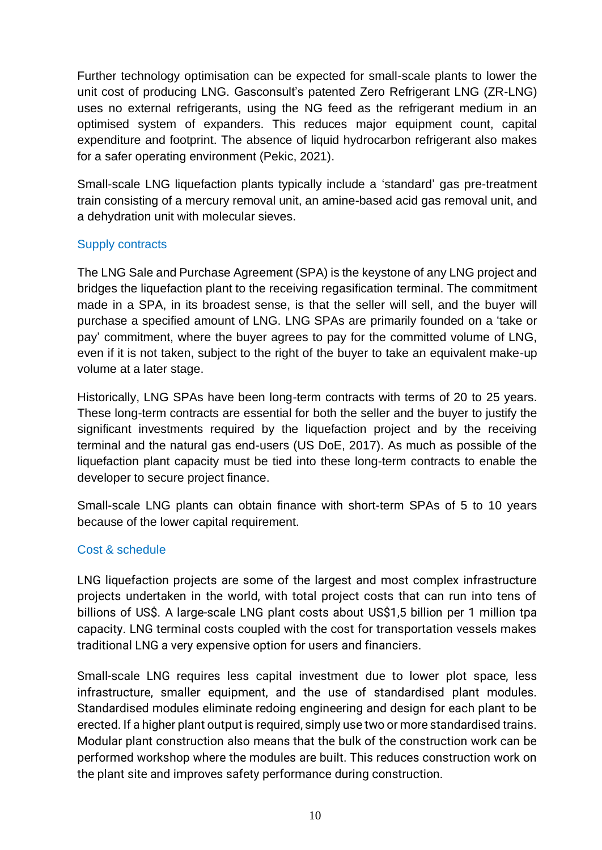Further technology optimisation can be expected for small-scale plants to lower the unit cost of producing LNG. Gasconsult's patented Zero Refrigerant LNG (ZR-LNG) uses no external refrigerants, using the NG feed as the refrigerant medium in an optimised system of expanders. This reduces major equipment count, capital expenditure and footprint. The absence of liquid hydrocarbon refrigerant also makes for a safer operating environment (Pekic, 2021).

Small-scale LNG liquefaction plants typically include a 'standard' gas pre-treatment train consisting of a mercury removal unit, an amine-based acid gas removal unit, and a dehydration unit with molecular sieves.

### Supply contracts

The LNG Sale and Purchase Agreement (SPA) is the keystone of any LNG project and bridges the liquefaction plant to the receiving regasification terminal. The commitment made in a SPA, in its broadest sense, is that the seller will sell, and the buyer will purchase a specified amount of LNG. LNG SPAs are primarily founded on a 'take or pay' commitment, where the buyer agrees to pay for the committed volume of LNG, even if it is not taken, subject to the right of the buyer to take an equivalent make-up volume at a later stage.

Historically, LNG SPAs have been long-term contracts with terms of 20 to 25 years. These long-term contracts are essential for both the seller and the buyer to justify the significant investments required by the liquefaction project and by the receiving terminal and the natural gas end-users (US DoE, 2017). As much as possible of the liquefaction plant capacity must be tied into these long-term contracts to enable the developer to secure project finance.

Small-scale LNG plants can obtain finance with short-term SPAs of 5 to 10 years because of the lower capital requirement.

### Cost & schedule

LNG liquefaction projects are some of the largest and most complex infrastructure projects undertaken in the world, with total project costs that can run into tens of billions of US\$. A large-scale LNG plant costs about US\$1,5 billion per 1 million tpa capacity. LNG terminal costs coupled with the cost for transportation vessels makes traditional LNG a very expensive option for users and financiers.

Small-scale LNG requires less capital investment due to lower plot space, less infrastructure, smaller equipment, and the use of standardised plant modules. Standardised modules eliminate redoing engineering and design for each plant to be erected. If a higher plant output is required, simply use two or more standardised trains. Modular plant construction also means that the bulk of the construction work can be performed workshop where the modules are built. This reduces construction work on the plant site and improves safety performance during construction.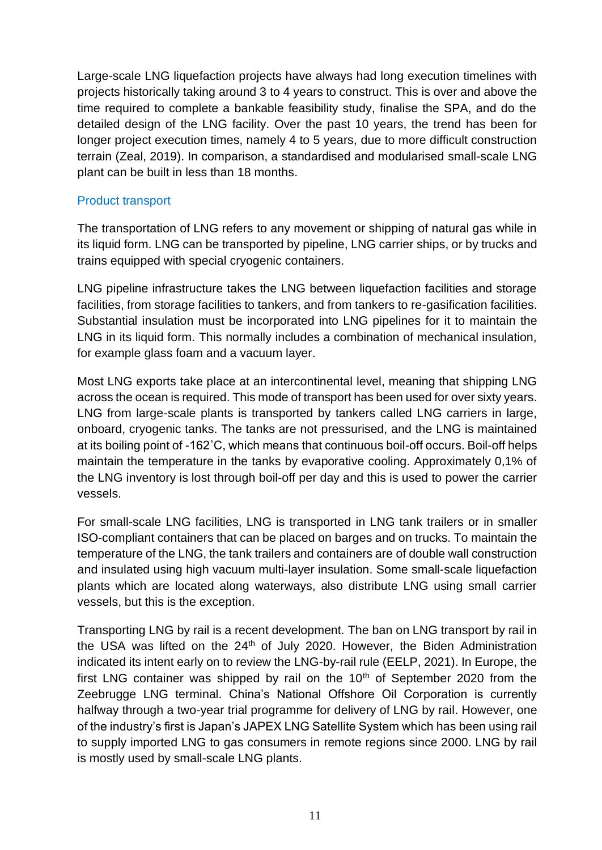Large-scale LNG liquefaction projects have always had long execution timelines with projects historically taking around 3 to 4 years to construct. This is over and above the time required to complete a bankable feasibility study, finalise the SPA, and do the detailed design of the LNG facility. Over the past 10 years, the trend has been for longer project execution times, namely 4 to 5 years, due to more difficult construction terrain (Zeal, 2019). In comparison, a standardised and modularised small-scale LNG plant can be built in less than 18 months.

#### Product transport

The transportation of LNG refers to any movement or shipping of natural gas while in its liquid form. LNG can be transported by pipeline, LNG carrier ships, or by trucks and trains equipped with special cryogenic containers.

LNG pipeline infrastructure takes the LNG between liquefaction facilities and storage facilities, from storage facilities to tankers, and from tankers to re-gasification facilities. Substantial insulation must be incorporated into LNG pipelines for it to maintain the LNG in its liquid form. This normally includes a combination of mechanical insulation, for example glass foam and a vacuum layer.

Most LNG exports take place at an intercontinental level, meaning that shipping LNG across the ocean is required. This mode of transport has been used for over sixty years. LNG from large-scale plants is transported by tankers called LNG carriers in large, onboard, cryogenic tanks. The tanks are not pressurised, and the LNG is maintained at its boiling point of -162˚C, which means that continuous boil-off occurs. Boil-off helps maintain the temperature in the tanks by evaporative cooling. Approximately 0,1% of the LNG inventory is lost through boil-off per day and this is used to power the carrier vessels.

For small-scale LNG facilities, LNG is transported in LNG tank trailers or in smaller ISO-compliant containers that can be placed on barges and on trucks. To maintain the temperature of the LNG, the tank trailers and containers are of double wall construction and insulated using high vacuum multi-layer insulation. Some small-scale liquefaction plants which are located along waterways, also distribute LNG using small carrier vessels, but this is the exception.

Transporting LNG by rail is a recent development. The ban on LNG transport by rail in the USA was lifted on the  $24<sup>th</sup>$  of July 2020. However, the Biden Administration indicated its intent early on to review the LNG-by-rail rule (EELP, 2021). In Europe, the first LNG container was shipped by rail on the  $10<sup>th</sup>$  of September 2020 from the Zeebrugge LNG terminal. China's National Offshore Oil Corporation is currently halfway through a two-year trial programme for delivery of LNG by rail. However, one of the industry's first is Japan's JAPEX LNG Satellite System which has been using rail to supply imported LNG to gas consumers in remote regions since 2000. LNG by rail is mostly used by small-scale LNG plants.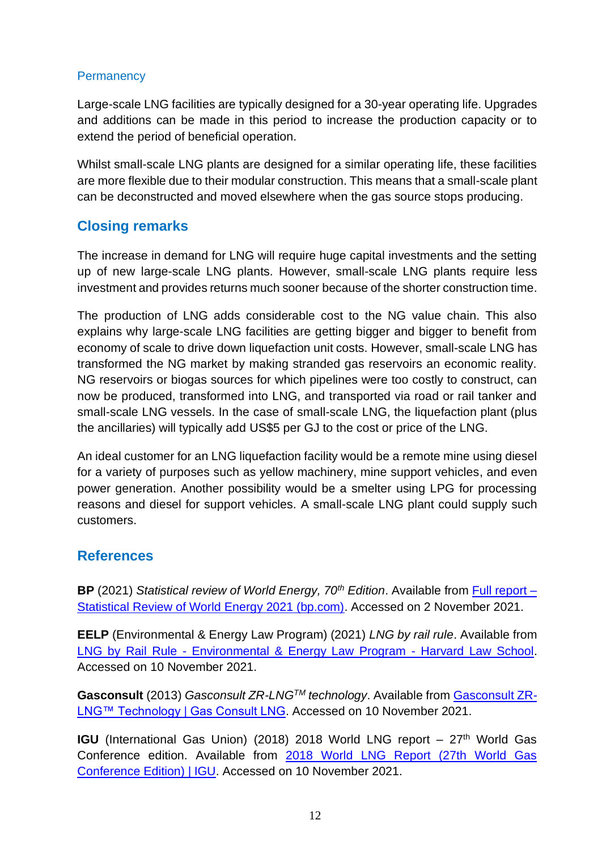#### **Permanency**

Large-scale LNG facilities are typically designed for a 30-year operating life. Upgrades and additions can be made in this period to increase the production capacity or to extend the period of beneficial operation.

Whilst small-scale LNG plants are designed for a similar operating life, these facilities are more flexible due to their modular construction. This means that a small-scale plant can be deconstructed and moved elsewhere when the gas source stops producing.

## **Closing remarks**

The increase in demand for LNG will require huge capital investments and the setting up of new large-scale LNG plants. However, small-scale LNG plants require less investment and provides returns much sooner because of the shorter construction time.

The production of LNG adds considerable cost to the NG value chain. This also explains why large-scale LNG facilities are getting bigger and bigger to benefit from economy of scale to drive down liquefaction unit costs. However, small-scale LNG has transformed the NG market by making stranded gas reservoirs an economic reality. NG reservoirs or biogas sources for which pipelines were too costly to construct, can now be produced, transformed into LNG, and transported via road or rail tanker and small-scale LNG vessels. In the case of small-scale LNG, the liquefaction plant (plus the ancillaries) will typically add US\$5 per GJ to the cost or price of the LNG.

An ideal customer for an LNG liquefaction facility would be a remote mine using diesel for a variety of purposes such as yellow machinery, mine support vehicles, and even power generation. Another possibility would be a smelter using LPG for processing reasons and diesel for support vehicles. A small-scale LNG plant could supply such customers.

### **References**

**BP** (2021) *Statistical review of World Energy, 70th Edition*. Available from [Full report –](https://www.bp.com/content/dam/bp/business-sites/en/global/corporate/pdfs/energy-economics/statistical-review/bp-stats-review-2021-full-report.pdf) [Statistical Review of World Energy 2021 \(bp.com\).](https://www.bp.com/content/dam/bp/business-sites/en/global/corporate/pdfs/energy-economics/statistical-review/bp-stats-review-2021-full-report.pdf) Accessed on 2 November 2021.

**EELP** (Environmental & Energy Law Program) (2021) *LNG by rail rule*. Available from LNG by Rail Rule - [Environmental & Energy Law Program -](https://eelp.law.harvard.edu/2021/01/lng-by-rail-rule/) Harvard Law School. Accessed on 10 November 2021.

**Gasconsult** (2013) *Gasconsult ZR-LNGTM technology*. Available from [Gasconsult ZR-](http://www.gasconsult.com/gasconsult-zr-lng-technology/)[LNG™ Technology | Gas Consult LNG.](http://www.gasconsult.com/gasconsult-zr-lng-technology/) Accessed on 10 November 2021.

**IGU** (International Gas Union) (2018) 2018 World LNG report – 27<sup>th</sup> World Gas Conference edition. Available from [2018 World LNG Report \(27th World Gas](https://www.igu.org/resources/2018-world-lng-report-27th-world-gas-conference-edition/)  [Conference Edition\) | IGU.](https://www.igu.org/resources/2018-world-lng-report-27th-world-gas-conference-edition/) Accessed on 10 November 2021.